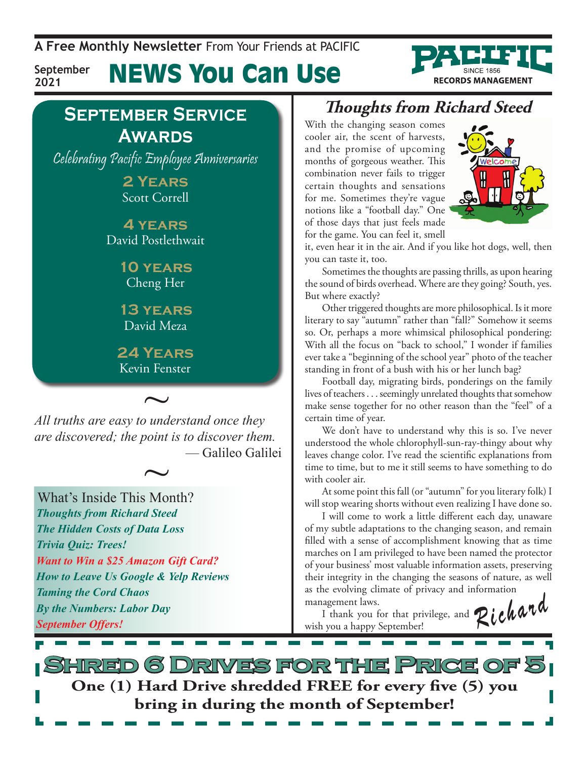**A Free Monthly Newsletter** From Your Friends at Pacific

**September 2021**

News You Can Use

### **September Service Awards**

Celebrating Pacific Employee Anniversaries

**2 Years** Scott Correll

**4 years** David Postlethwait

> **10 years** Cheng Her

**13 years** David Meza

**24 Years** Kevin Fenster

~ *All truths are easy to understand once they are discovered; the point is to discover them.* — Galileo Galilei  $\sim$ 

What's Inside This Month? *Thoughts from Richard Steed The Hidden Costs of Data Loss Trivia Quiz: Trees! Want to Win a \$25 Amazon Gift Card? How to Leave Us Google & Yelp Reviews Taming the Cord Chaos By the Numbers: Labor Day September Offers!*

### **Thoughts from Richard Steed**

With the changing season comes cooler air, the scent of harvests, and the promise of upcoming months of gorgeous weather. This combination never fails to trigger certain thoughts and sensations for me. Sometimes they're vague notions like a "football day." One of those days that just feels made for the game. You can feel it, smell



**RECORDS MANAGEMENT** 

it, even hear it in the air. And if you like hot dogs, well, then you can taste it, too.

Sometimes the thoughts are passing thrills, as upon hearing the sound of birds overhead. Where are they going? South, yes. But where exactly?

Other triggered thoughts are more philosophical. Is it more literary to say "autumn" rather than "fall?" Somehow it seems so. Or, perhaps a more whimsical philosophical pondering: With all the focus on "back to school," I wonder if families ever take a "beginning of the school year" photo of the teacher standing in front of a bush with his or her lunch bag?

Football day, migrating birds, ponderings on the family lives of teachers . . . seemingly unrelated thoughts that somehow make sense together for no other reason than the "feel" of a certain time of year.

We don't have to understand why this is so. I've never understood the whole chlorophyll-sun-ray-thingy about why leaves change color. I've read the scientific explanations from time to time, but to me it still seems to have something to do with cooler air.

At some point this fall (or "autumn" for you literary folk) I will stop wearing shorts without even realizing I have done so.

I will come to work a little different each day, unaware of my subtle adaptations to the changing season, and remain filled with a sense of accomplishment knowing that as time marches on I am privileged to have been named the protector of your business' most valuable information assets, preserving their integrity in the changing the seasons of nature, as well as the evolving climate of privacy and information

management laws. I thank you for that privilege, and wish you a happy September! Richard

**Shred 6 Drives for the Price of 5 One (1) Hard Drive shredded FREE for every five (5) you bring in during the month of September!**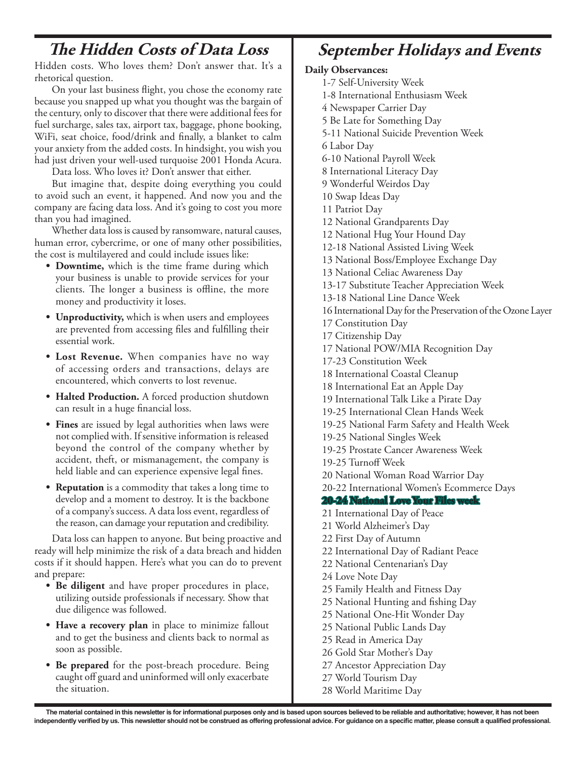#### **The Hidden Costs of Data Loss**

Hidden costs. Who loves them? Don't answer that. It's a rhetorical question.

On your last business flight, you chose the economy rate because you snapped up what you thought was the bargain of the century, only to discover that there were additional fees for fuel surcharge, sales tax, airport tax, baggage, phone booking, WiFi, seat choice, food/drink and finally, a blanket to calm your anxiety from the added costs. In hindsight, you wish you had just driven your well-used turquoise 2001 Honda Acura.

Data loss. Who loves it? Don't answer that either.

But imagine that, despite doing everything you could to avoid such an event, it happened. And now you and the company are facing data loss. And it's going to cost you more than you had imagined.

Whether data loss is caused by ransomware, natural causes, human error, cybercrime, or one of many other possibilities, the cost is multilayered and could include issues like:

- **Downtime,** which is the time frame during which your business is unable to provide services for your clients. The longer a business is offline, the more money and productivity it loses.
- **• Unproductivity,** which is when users and employees are prevented from accessing files and fulfilling their essential work.
- **• Lost Revenue.** When companies have no way of accessing orders and transactions, delays are encountered, which converts to lost revenue.
- **• Halted Production.** A forced production shutdown can result in a huge financial loss.
- **Fines** are issued by legal authorities when laws were not complied with. If sensitive information is released beyond the control of the company whether by accident, theft, or mismanagement, the company is held liable and can experience expensive legal fines.
- **• Reputation** is a commodity that takes a long time to develop and a moment to destroy. It is the backbone of a company's success. A data loss event, regardless of the reason, can damage your reputation and credibility.

Data loss can happen to anyone. But being proactive and ready will help minimize the risk of a data breach and hidden costs if it should happen. Here's what you can do to prevent and prepare:

- **• Be diligent** and have proper procedures in place, utilizing outside professionals if necessary. Show that due diligence was followed.
- **• Have a recovery plan** in place to minimize fallout and to get the business and clients back to normal as soon as possible.
- Be prepared for the post-breach procedure. Being caught off guard and uninformed will only exacerbate the situation.

### **September Holidays and Events**

#### **Daily Observances:**

- 1-7 Self-University Week
- 1-8 International Enthusiasm Week
- 4 Newspaper Carrier Day
- 5 Be Late for Something Day
- 5-11 National Suicide Prevention Week
- 6 Labor Day
- 6-10 National Payroll Week
- 8 International Literacy Day
- 9 Wonderful Weirdos Day
- 10 Swap Ideas Day
- 11 Patriot Day
- 12 National Grandparents Day
- 12 National Hug Your Hound Day
- 12-18 National Assisted Living Week
- 13 National Boss/Employee Exchange Day
- 13 National Celiac Awareness Day
- 13-17 Substitute Teacher Appreciation Week
- 13-18 National Line Dance Week
- 16 International Day for the Preservation of the Ozone Layer
- 17 Constitution Day
- 17 Citizenship Day
- 17 National POW/MIA Recognition Day
- 17-23 Constitution Week
- 18 International Coastal Cleanup
- 18 International Eat an Apple Day
- 19 International Talk Like a Pirate Day
- 19-25 International Clean Hands Week
- 19-25 National Farm Safety and Health Week
- 19-25 National Singles Week
- 19-25 Prostate Cancer Awareness Week
- 19-25 Turnoff Week
- 20 National Woman Road Warrior Day
- 20-22 International Women's Ecommerce Days

#### **20-24 National Love Your Files week**

- 21 International Day of Peace
- 21 World Alzheimer's Day
	- 22 First Day of Autumn
	- 22 International Day of Radiant Peace
	- 22 National Centenarian's Day
	- 24 Love Note Day
	- 25 Family Health and Fitness Day
	- 25 National Hunting and fishing Day
	- 25 National One-Hit Wonder Day
	- 25 National Public Lands Day
	- 25 Read in America Day
	- 26 Gold Star Mother's Day
	- 27 Ancestor Appreciation Day
	- 27 World Tourism Day
	- 28 World Maritime Day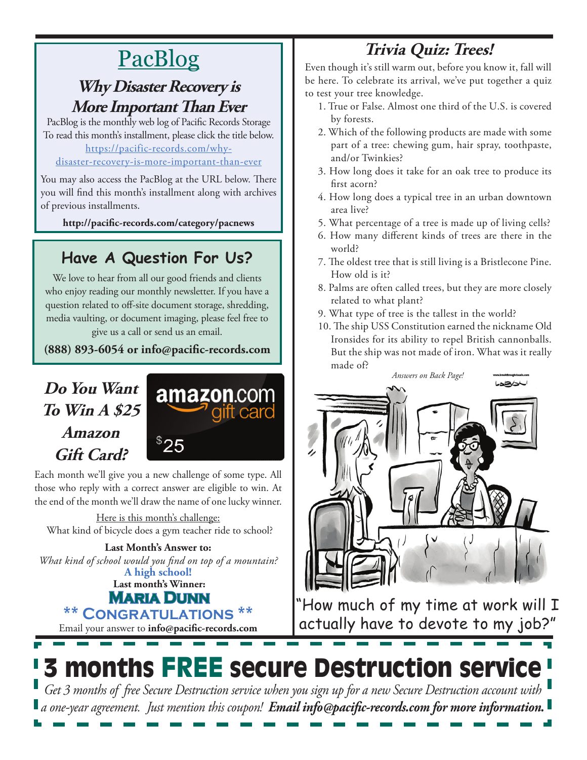# PacBlog

#### **Why Disaster Recovery is More Important Than Ever**

PacBlog is the monthly web log of Pacific Records Storage To read this month's installment, please click the title below[.](http://pacific-records.com/5-advantages-of-a-local-shredding-and-destruction-provider) [https://pacific-records.com/why-](https://pacific-records.com/why-disaster-recovery-is-more-important-than-ever)

#### [disaster-recovery-is-more-important-than-ever](https://pacific-records.com/why-disaster-recovery-is-more-important-than-ever)

You may also access the PacBlog at the URL below. There you will find this month's installment along with archives of previous installments.

**http://pacific-records.com/category/pacnews**

### **Have A Question For Us?**

We love to hear from all our good friends and clients who enjoy reading our monthly newsletter. If you have a question related to off-site document storage, shredding, media vaulting, or document imaging, please feel free to give us a call or send us an email.

**(888) 893-6054 or info@pacific-records.com**

### **Do You Want To Win A \$25 Amazon Gift Card?**



Each month we'll give you a new challenge of some type. All those who reply with a correct answer are eligible to win. At the end of the month we'll draw the name of one lucky winner.

Here is this month's challenge: What kind of bicycle does a gym teacher ride to school?

Email your answer to **info@pacific-records.com Last month's Winner: Maria Dunn \*\* Congratulations \*\* A high school! Last Month's Answer to:**  *What kind of school would you find on top of a mountain?*

# **Trivia Quiz: Trees!**

Even though it's still warm out, before you know it, fall will be here. To celebrate its arrival, we've put together a quiz to test your tree knowledge.

- 1. True or False. Almost one third of the U.S. is covered by forests.
- 2. Which of the following products are made with some part of a tree: chewing gum, hair spray, toothpaste, and/or Twinkies?
- 3. How long does it take for an oak tree to produce its first acorn?
- 4. How long does a typical tree in an urban downtown area live?
- 5. What percentage of a tree is made up of living cells?
- 6. How many different kinds of trees are there in the world?
- 7. The oldest tree that is still living is a Bristlecone Pine. How old is it?
- 8. Palms are often called trees, but they are more closely related to what plant?
- 9. What type of tree is the tallest in the world?
- 10. The ship USS Constitution earned the nickname Old Ironsides for its ability to repel British cannonballs. But the ship was not made of iron. What was it really made of?



"How much of my time at work will I actually have to devote to my job?"